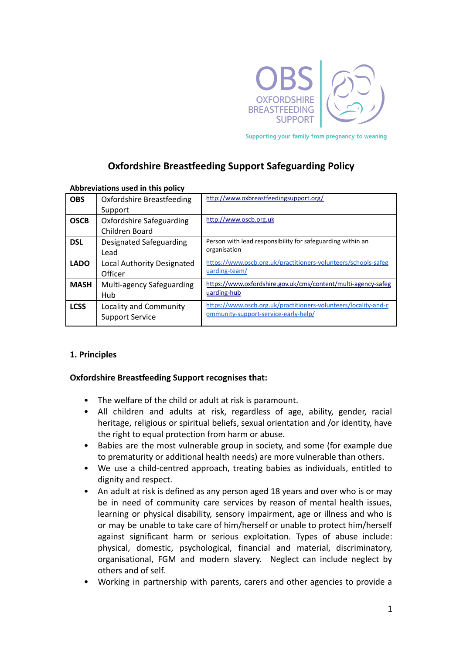

Supporting your family from pregnancy to weaning

# **Oxfordshire Breastfeeding Support Safeguarding Policy**

| Abbreviations used in this policy |                                                  |                                                                                                         |  |
|-----------------------------------|--------------------------------------------------|---------------------------------------------------------------------------------------------------------|--|
| <b>OBS</b>                        | <b>Oxfordshire Breastfeeding</b>                 | http://www.oxbreastfeedingsupport.org/                                                                  |  |
|                                   | Support                                          |                                                                                                         |  |
| <b>OSCB</b>                       | Oxfordshire Safeguarding                         | http://www.oscb.org.uk                                                                                  |  |
|                                   | Children Board                                   |                                                                                                         |  |
| <b>DSL</b>                        | Designated Safeguarding<br>Lead                  | Person with lead responsibility for safeguarding within an<br>organisation                              |  |
| <b>LADO</b>                       | Local Authority Designated<br>Officer            | https://www.oscb.org.uk/practitioners-volunteers/schools-safeg<br>uarding-team/                         |  |
| <b>MASH</b>                       | Multi-agency Safeguarding<br>Hub                 | https://www.oxfordshire.gov.uk/cms/content/multi-agency-safeg<br>uarding-hub                            |  |
| <b>LCSS</b>                       | Locality and Community<br><b>Support Service</b> | https://www.oscb.org.uk/practitioners-volunteers/locality-and-c<br>ommunity-support-service-early-help/ |  |

#### **Abbreviations used in this policy**

### **1. Principles**

### **Oxfordshire Breastfeeding Support recognises that:**

- The welfare of the child or adult at risk is paramount.
- All children and adults at risk, regardless of age, ability, gender, racial heritage, religious or spiritual beliefs, sexual orientation and /or identity, have the right to equal protection from harm or abuse.
- Babies are the most vulnerable group in society, and some (for example due to prematurity or additional health needs) are more vulnerable than others.
- We use a child-centred approach, treating babies as individuals, entitled to dignity and respect.
- An adult at risk is defined as any person aged 18 years and over who is or may be in need of community care services by reason of mental health issues, learning or physical disability, sensory impairment, age or illness and who is or may be unable to take care of him/herself or unable to protect him/herself against significant harm or serious exploitation. Types of abuse include: physical, domestic, psychological, financial and material, discriminatory, organisational, FGM and modern slavery. Neglect can include neglect by others and of self.
- Working in partnership with parents, carers and other agencies to provide a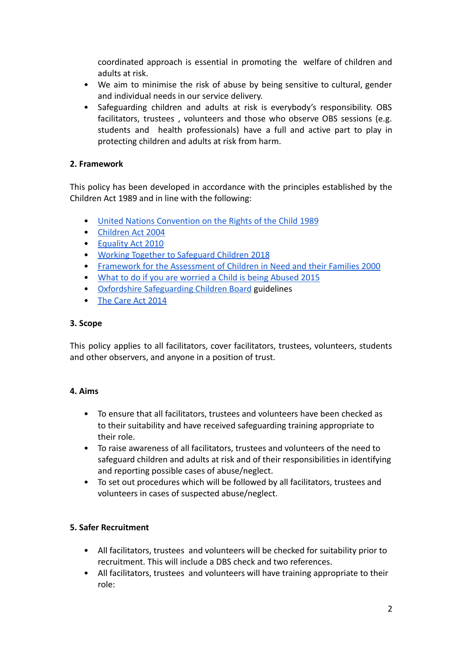coordinated approach is essential in promoting the welfare of children and adults at risk.

- We aim to minimise the risk of abuse by being sensitive to cultural, gender and individual needs in our service delivery.
- Safeguarding children and adults at risk is everybody's responsibility. OBS facilitators, trustees , volunteers and those who observe OBS sessions (e.g. students and health professionals) have a full and active part to play in protecting children and adults at risk from harm.

# **2. Framework**

This policy has been developed in accordance with the principles established by the Children Act 1989 and in line with the following:

- [United Nations Convention on the Rights of the Child 1989](https://downloads.unicef.org.uk/wp-content/uploads/2010/05/UNCRC_united_nations_convention_on_the_rights_of_the_child.pdf?_ga=2.108821505.281969449.1580677395-1864387670.1580677395)
- [Children Act 2004](http://www.legislation.gov.uk/ukpga/2004/31/contents)
- [Equality Act 2010](http://www.legislation.gov.uk/ukpga/2010/15/contents)
- [Working Together to Safeguard Children 2018](https://assets.publishing.service.gov.uk/government/uploads/system/uploads/attachment_data/file/779401/Working_Together_to_Safeguard-Children.pdf)
- [Framework for the Assessment of Children in Need and their Families 2000](https://bettercarenetwork.org/sites/default/files/Framework%20for%20the%20Assessment%20of%20Children%20in%20Need%20and%20Their%20Families%20-%20Guidance%20Notes%20and%20Glossary.pdf)
- [What to do if you are worried a Child is being Abused 2015](https://assets.publishing.service.gov.uk/government/uploads/system/uploads/attachment_data/file/419604/What_to_do_if_you_re_worried_a_child_is_being_abused.pdf)
- [Oxfordshire Safeguarding Children Board](https://www.oscb.org.uk/practitioners-volunteers/multi-agency-guidance-tools/) guidelines
- [The Care Act 2014](https://www.england.nhs.uk/wp-content/uploads/2017/02/adult-pocket-guide.pdf)

### **3. Scope**

This policy applies to all facilitators, cover facilitators, trustees, volunteers, students and other observers, and anyone in a position of trust.

### **4. Aims**

- To ensure that all facilitators, trustees and volunteers have been checked as to their suitability and have received safeguarding training appropriate to their role.
- To raise awareness of all facilitators, trustees and volunteers of the need to safeguard children and adults at risk and of their responsibilities in identifying and reporting possible cases of abuse/neglect.
- To set out procedures which will be followed by all facilitators, trustees and volunteers in cases of suspected abuse/neglect.

### **5. Safer Recruitment**

- All facilitators, trustees and volunteers will be checked for suitability prior to recruitment. This will include a DBS check and two references.
- All facilitators, trustees and volunteers will have training appropriate to their role: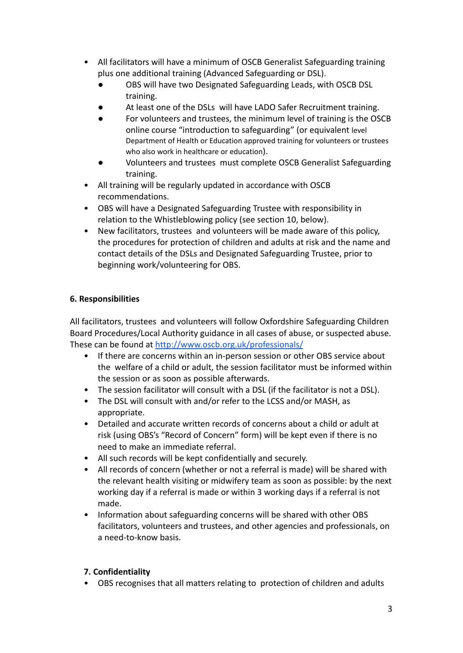- All facilitators will have a minimum of OSCB Generalist Safeguarding training plus one additional training (Advanced Safeguarding or DSL).
	- OBS will have two Designated Safeguarding Leads, with OSCB DSL training.
	- At least one of the DSLs will have LADO Safer Recruitment training.
	- For volunteers and trustees, the minimum level of training is the OSCB online course "introduction to safeguarding" (or equivalent level Department of Health or Education approved training for volunteers or trustees who also work in healthcare or education).
	- Volunteers and trustees must complete OSCB Generalist Safeguarding training.
- All training will be regularly updated in accordance with OSCB recommendations.
- OBS will have a Designated Safeguarding Trustee with responsibility in relation to the Whistleblowing policy (see section 10, below).
- New facilitators, trustees and volunteers will be made aware of this policy, the procedures for protection of children and adults at risk and the name and contact details of the DSLs and Designated Safeguarding Trustee, prior to beginning work/volunteering for OBS.

## **6. Responsibilities**

All facilitators, trustees and volunteers will follow Oxfordshire Safeguarding Children Board Procedures/Local Authority guidance in all cases of abuse, or suspected abuse. These can be found at <http://www.oscb.org.uk/professionals/>

- If there are concerns within an in-person session or other OBS service about the welfare of a child or adult, the session facilitator must be informed within the session or as soon as possible afterwards.
- The session facilitator will consult with a DSL (if the facilitator is not a DSL).
- The DSL will consult with and/or refer to the LCSS and/or MASH, as appropriate.
- Detailed and accurate written records of concerns about a child or adult at risk (using OBS's "Record of Concern" form) will be kept even if there is no need to make an immediate referral.
- All such records will be kept confidentially and securely.
- All records of concern (whether or not a referral is made) will be shared with the relevant health visiting or midwifery team as soon as possible: by the next working day if a referral is made or within 3 working days if a referral is not made.
- Information about safeguarding concerns will be shared with other OBS facilitators, volunteers and trustees, and other agencies and professionals, on a need-to-know basis.

### **7. Confidentiality**

• OBS recognises that all matters relating to protection of children and adults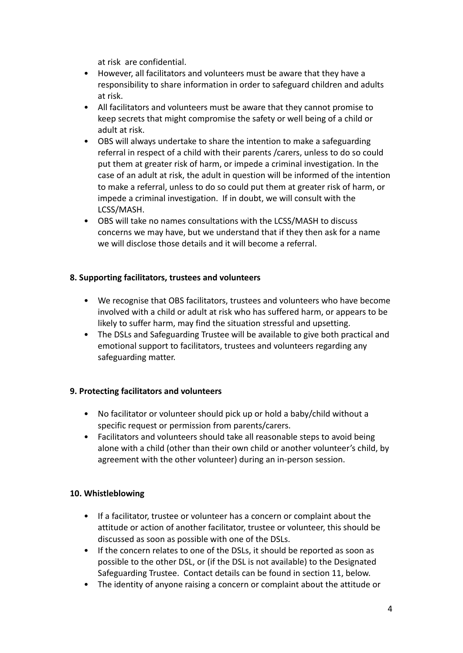at risk are confidential.

- However, all facilitators and volunteers must be aware that they have a responsibility to share information in order to safeguard children and adults at risk.
- All facilitators and volunteers must be aware that they cannot promise to keep secrets that might compromise the safety or well being of a child or adult at risk.
- OBS will always undertake to share the intention to make a safeguarding referral in respect of a child with their parents /carers, unless to do so could put them at greater risk of harm, or impede a criminal investigation. In the case of an adult at risk, the adult in question will be informed of the intention to make a referral, unless to do so could put them at greater risk of harm, or impede a criminal investigation. If in doubt, we will consult with the LCSS/MASH.
- OBS will take no names consultations with the LCSS/MASH to discuss concerns we may have, but we understand that if they then ask for a name we will disclose those details and it will become a referral.

### **8. Supporting facilitators, trustees and volunteers**

- We recognise that OBS facilitators, trustees and volunteers who have become involved with a child or adult at risk who has suffered harm, or appears to be likely to suffer harm, may find the situation stressful and upsetting.
- The DSLs and Safeguarding Trustee will be available to give both practical and emotional support to facilitators, trustees and volunteers regarding any safeguarding matter.

### **9. Protecting facilitators and volunteers**

- No facilitator or volunteer should pick up or hold a baby/child without a specific request or permission from parents/carers.
- Facilitators and volunteers should take all reasonable steps to avoid being alone with a child (other than their own child or another volunteer's child, by agreement with the other volunteer) during an in-person session.

### **10. Whistleblowing**

- If a facilitator, trustee or volunteer has a concern or complaint about the attitude or action of another facilitator, trustee or volunteer, this should be discussed as soon as possible with one of the DSLs.
- If the concern relates to one of the DSLs, it should be reported as soon as possible to the other DSL, or (if the DSL is not available) to the Designated Safeguarding Trustee. Contact details can be found in section 11, below.
- The identity of anyone raising a concern or complaint about the attitude or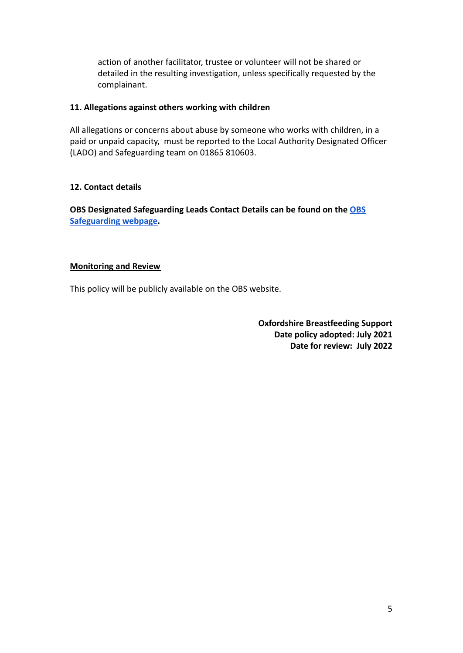action of another facilitator, trustee or volunteer will not be shared or detailed in the resulting investigation, unless specifically requested by the complainant.

#### **11. Allegations against others working with children**

All allegations or concerns about abuse by someone who works with children, in a paid or unpaid capacity, must be reported to the Local Authority Designated Officer (LADO) and Safeguarding team on 01865 810603.

### **12. Contact details**

**OBS Designated Safeguarding Leads Contact Details can be found on the [OBS](https://www.oxbreastfeedingsupport.org/index.php/aboutus/safeguarding) [Safeguarding webpage.](https://www.oxbreastfeedingsupport.org/index.php/aboutus/safeguarding)**

#### **Monitoring and Review**

This policy will be publicly available on the OBS website.

**Oxfordshire Breastfeeding Support Date policy adopted: July 2021 Date for review: July 2022**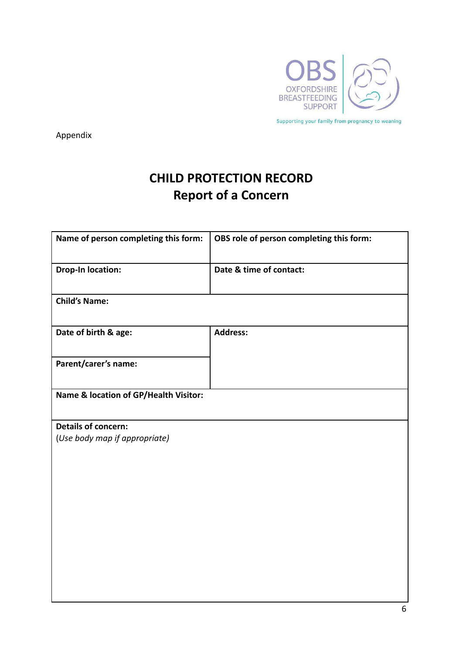

Appendix

# **CHILD PROTECTION RECORD Report of a Concern**

| Name of person completing this form:  | OBS role of person completing this form: |
|---------------------------------------|------------------------------------------|
| <b>Drop-In location:</b>              | Date & time of contact:                  |
| <b>Child's Name:</b>                  |                                          |
| Date of birth & age:                  | <b>Address:</b>                          |
| Parent/carer's name:                  |                                          |
| Name & location of GP/Health Visitor: |                                          |
| <b>Details of concern:</b>            |                                          |
| (Use body map if appropriate)         |                                          |
|                                       |                                          |
|                                       |                                          |
|                                       |                                          |
|                                       |                                          |